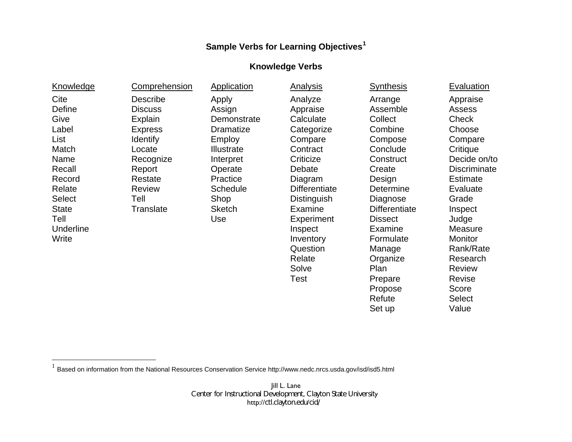## **Sample Verbs for Learning Objectives[1](#page-0-0)**

## **Knowledge Verbs**

<span id="page-0-0"></span>

| Knowledge     | Comprehension  | Application       | Analysis             | <b>Synthesis</b>     | Evaluation          |
|---------------|----------------|-------------------|----------------------|----------------------|---------------------|
| Cite          | Describe       | Apply             | Analyze              | Arrange              | Appraise            |
| Define        | <b>Discuss</b> | Assign            | Appraise             | Assemble             | <b>Assess</b>       |
| Give          | Explain        | Demonstrate       | Calculate            | Collect              | <b>Check</b>        |
| Label         | <b>Express</b> | <b>Dramatize</b>  | Categorize           | Combine              | Choose              |
| List          | Identify       | <b>Employ</b>     | Compare              | Compose              | Compare             |
| Match         | Locate         | <b>Illustrate</b> | Contract             | Conclude             | Critique            |
| Name          | Recognize      | Interpret         | Criticize            | Construct            | Decide on/to        |
| Recall        | Report         | Operate           | Debate               | Create               | <b>Discriminate</b> |
| Record        | Restate        | Practice          | Diagram              | Design               | <b>Estimate</b>     |
| Relate        | <b>Review</b>  | <b>Schedule</b>   | <b>Differentiate</b> | Determine            | Evaluate            |
| <b>Select</b> | Tell           | Shop              | <b>Distinguish</b>   | Diagnose             | Grade               |
| <b>State</b>  | Translate      | <b>Sketch</b>     | Examine              | <b>Differentiate</b> | Inspect             |
| Tell          |                | Use               | Experiment           | <b>Dissect</b>       | Judge               |
| Underline     |                |                   | Inspect              | Examine              | Measure             |
| Write         |                |                   | Inventory            | Formulate            | <b>Monitor</b>      |
|               |                |                   | Question             | Manage               | Rank/Rate           |
|               |                |                   | Relate               | Organize             | Research            |
|               |                |                   | Solve                | Plan                 | <b>Review</b>       |
|               |                |                   | Test                 | Prepare              | Revise              |

 $^1$  Based on information from the National Resources Conservation Service http://www.nedc.nrcs.usda.gov/isd/isd5.html

Jill L. Lane Center for Instructional Development, Clayton State University http://ctl.clayton.edu/cid/

Propose Refute Set up

Score Select Value